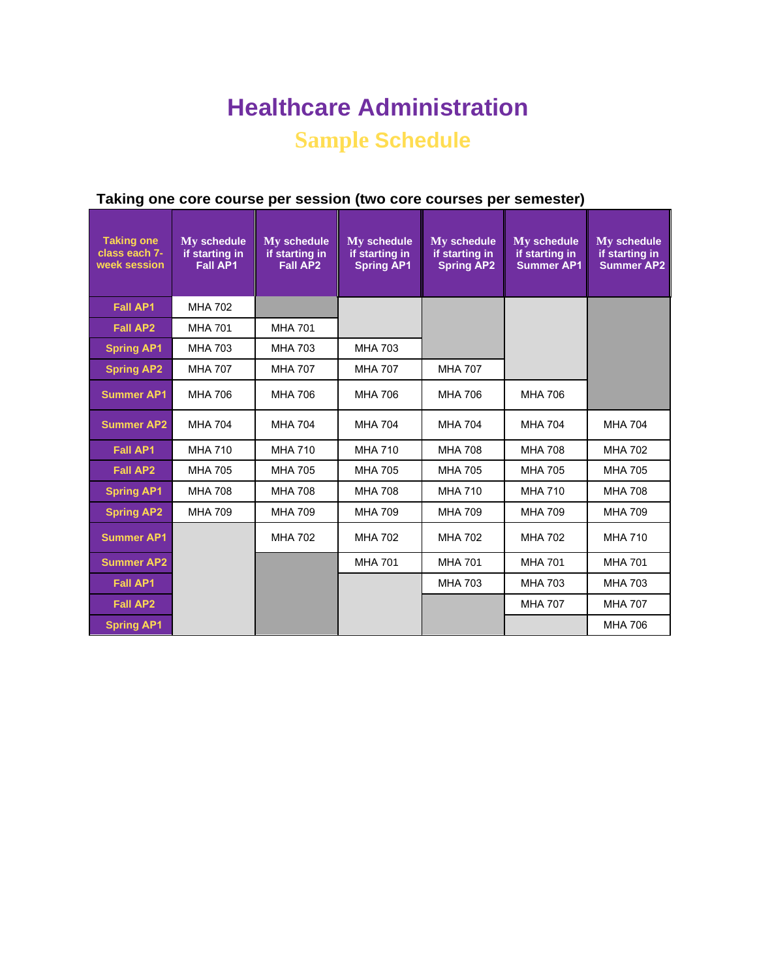# **Healthcare Administration**

## **Sample Schedule**

| <b>Taking one</b><br>class each 7-<br>week session | My schedule<br>if starting in<br><b>Fall AP1</b> | My schedule<br>if starting in<br><b>Fall AP2</b> | My schedule<br>if starting in<br><b>Spring AP1</b> | My schedule<br>if starting in<br><b>Spring AP2</b> | My schedule<br>if starting in<br><b>Summer AP1</b> | My schedule<br>if starting in<br><b>Summer AP2</b> |
|----------------------------------------------------|--------------------------------------------------|--------------------------------------------------|----------------------------------------------------|----------------------------------------------------|----------------------------------------------------|----------------------------------------------------|
| <b>Fall AP1</b>                                    | <b>MHA 702</b>                                   |                                                  |                                                    |                                                    |                                                    |                                                    |
| <b>Fall AP2</b>                                    | <b>MHA 701</b>                                   | <b>MHA 701</b>                                   |                                                    |                                                    |                                                    |                                                    |
| <b>Spring AP1</b>                                  | <b>MHA 703</b>                                   | <b>MHA 703</b>                                   | <b>MHA 703</b>                                     |                                                    |                                                    |                                                    |
| <b>Spring AP2</b>                                  | <b>MHA 707</b>                                   | <b>MHA 707</b>                                   | <b>MHA 707</b>                                     | <b>MHA 707</b>                                     |                                                    |                                                    |
| <b>Summer AP1</b>                                  | <b>MHA 706</b>                                   | <b>MHA 706</b>                                   | <b>MHA 706</b>                                     | <b>MHA 706</b>                                     | <b>MHA 706</b>                                     |                                                    |
| <b>Summer AP2</b>                                  | <b>MHA 704</b>                                   | <b>MHA 704</b>                                   | <b>MHA 704</b>                                     | <b>MHA 704</b>                                     | <b>MHA 704</b>                                     | <b>MHA 704</b>                                     |
| <b>Fall AP1</b>                                    | <b>MHA 710</b>                                   | <b>MHA 710</b>                                   | <b>MHA 710</b>                                     | <b>MHA 708</b>                                     | <b>MHA 708</b>                                     | <b>MHA 702</b>                                     |
| <b>Fall AP2</b>                                    | <b>MHA 705</b>                                   | <b>MHA 705</b>                                   | <b>MHA 705</b>                                     | <b>MHA 705</b>                                     | <b>MHA 705</b>                                     | <b>MHA 705</b>                                     |
| <b>Spring AP1</b>                                  | <b>MHA 708</b>                                   | <b>MHA 708</b>                                   | <b>MHA 708</b>                                     | <b>MHA 710</b>                                     | <b>MHA 710</b>                                     | <b>MHA 708</b>                                     |
| <b>Spring AP2</b>                                  | <b>MHA 709</b>                                   | <b>MHA 709</b>                                   | <b>MHA 709</b>                                     | <b>MHA 709</b>                                     | <b>MHA 709</b>                                     | <b>MHA 709</b>                                     |
| <b>Summer AP1</b>                                  |                                                  | <b>MHA 702</b>                                   | <b>MHA 702</b>                                     | <b>MHA 702</b>                                     | <b>MHA 702</b>                                     | <b>MHA 710</b>                                     |
| <b>Summer AP2</b>                                  |                                                  |                                                  | <b>MHA 701</b>                                     | <b>MHA 701</b>                                     | <b>MHA 701</b>                                     | <b>MHA 701</b>                                     |
| <b>Fall AP1</b>                                    |                                                  |                                                  |                                                    | <b>MHA 703</b>                                     | <b>MHA 703</b>                                     | <b>MHA 703</b>                                     |
| <b>Fall AP2</b>                                    |                                                  |                                                  |                                                    |                                                    | <b>MHA 707</b>                                     | <b>MHA 707</b>                                     |
| <b>Spring AP1</b>                                  |                                                  |                                                  |                                                    |                                                    |                                                    | <b>MHA 706</b>                                     |

### **Taking one core course per session (two core courses per semester)**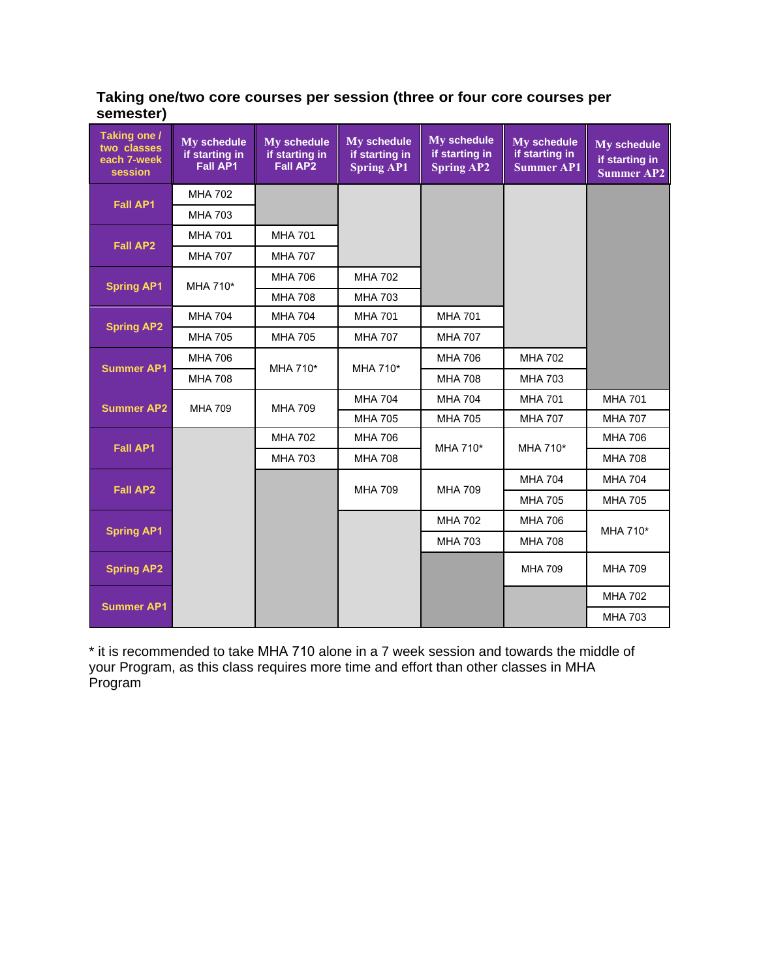#### **Taking one/two core courses per session (three or four core courses per semester)**

| Taking one /<br>two classes<br>each 7-week<br>session | My schedule<br>if starting in<br><b>Fall AP1</b> | My schedule<br>if starting in<br><b>Fall AP2</b> | My schedule<br>if starting in<br><b>Spring AP1</b> | My schedule<br>if starting in<br><b>Spring AP2</b> | My schedule<br>if starting in<br><b>Summer AP1</b> | My schedule<br>if starting in<br><b>Summer AP2</b> |
|-------------------------------------------------------|--------------------------------------------------|--------------------------------------------------|----------------------------------------------------|----------------------------------------------------|----------------------------------------------------|----------------------------------------------------|
| <b>Fall AP1</b>                                       | <b>MHA 702</b>                                   |                                                  |                                                    |                                                    |                                                    |                                                    |
|                                                       | <b>MHA 703</b>                                   |                                                  |                                                    |                                                    |                                                    |                                                    |
| <b>Fall AP2</b>                                       | <b>MHA 701</b>                                   | <b>MHA 701</b>                                   |                                                    |                                                    |                                                    |                                                    |
|                                                       | <b>MHA 707</b>                                   | <b>MHA 707</b>                                   |                                                    |                                                    |                                                    |                                                    |
| <b>Spring AP1</b>                                     | MHA 710*                                         | <b>MHA 706</b>                                   | <b>MHA 702</b>                                     |                                                    |                                                    |                                                    |
|                                                       |                                                  | <b>MHA 708</b>                                   | <b>MHA 703</b>                                     |                                                    |                                                    |                                                    |
| <b>Spring AP2</b>                                     | <b>MHA 704</b>                                   | <b>MHA 704</b>                                   | <b>MHA 701</b>                                     | <b>MHA 701</b>                                     |                                                    |                                                    |
|                                                       | <b>MHA 705</b>                                   | <b>MHA 705</b>                                   | <b>MHA 707</b>                                     | <b>MHA 707</b>                                     |                                                    |                                                    |
| <b>Summer AP1</b>                                     | <b>MHA 706</b>                                   | MHA 710*                                         | MHA 710*                                           | <b>MHA 706</b>                                     | <b>MHA 702</b>                                     |                                                    |
|                                                       | <b>MHA 708</b>                                   |                                                  |                                                    | <b>MHA 708</b>                                     | <b>MHA 703</b>                                     |                                                    |
| <b>Summer AP2</b>                                     | <b>MHA 709</b>                                   | <b>MHA 709</b>                                   | <b>MHA 704</b>                                     | <b>MHA 704</b>                                     | <b>MHA 701</b>                                     | <b>MHA 701</b>                                     |
|                                                       |                                                  |                                                  | <b>MHA 705</b>                                     | <b>MHA 705</b>                                     | <b>MHA 707</b>                                     | <b>MHA 707</b>                                     |
| <b>Fall AP1</b>                                       |                                                  | <b>MHA 702</b>                                   | <b>MHA 706</b>                                     | MHA 710*                                           | MHA 710*                                           | <b>MHA 706</b>                                     |
|                                                       |                                                  | <b>MHA 703</b>                                   | <b>MHA 708</b>                                     |                                                    |                                                    | <b>MHA 708</b>                                     |
| <b>Fall AP2</b>                                       |                                                  |                                                  | <b>MHA 709</b>                                     | <b>MHA 709</b>                                     | <b>MHA 704</b>                                     | <b>MHA 704</b>                                     |
|                                                       |                                                  |                                                  |                                                    |                                                    | <b>MHA 705</b>                                     | <b>MHA 705</b>                                     |
| <b>Spring AP1</b>                                     |                                                  |                                                  |                                                    | <b>MHA 702</b>                                     | <b>MHA 706</b>                                     | MHA 710*                                           |
|                                                       |                                                  |                                                  |                                                    | <b>MHA 703</b>                                     | <b>MHA 708</b>                                     |                                                    |
| <b>Spring AP2</b>                                     |                                                  |                                                  |                                                    |                                                    | <b>MHA 709</b>                                     | <b>MHA 709</b>                                     |
|                                                       |                                                  |                                                  |                                                    |                                                    |                                                    | <b>MHA 702</b>                                     |
| <b>Summer AP1</b>                                     |                                                  |                                                  |                                                    |                                                    |                                                    | <b>MHA 703</b>                                     |

\* it is recommended to take MHA 710 alone in a 7 week session and towards the middle of your Program, as this class requires more time and effort than other classes in MHA Program